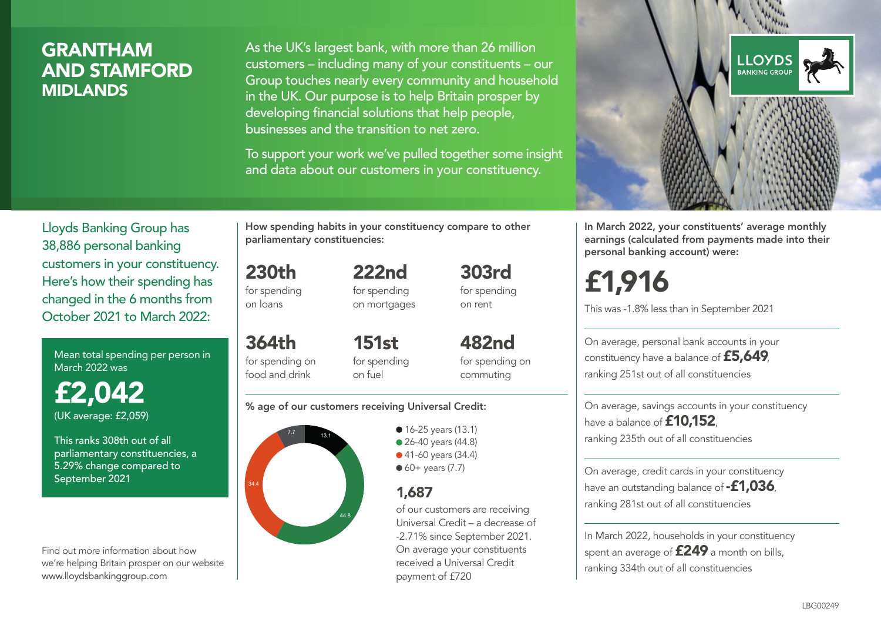## GRANTHAM AND STAMFORD MIDLANDS

As the UK's largest bank, with more than 26 million customers – including many of your constituents – our Group touches nearly every community and household in the UK. Our purpose is to help Britain prosper by developing financial solutions that help people, businesses and the transition to net zero.

To support your work we've pulled together some insight and data about our customers in your constituency.



Mean total spending per person in March 2022 was

£2,042 (UK average: £2,059)

This ranks 308th out of all parliamentary constituencies, a 5.29% change compared to September 2021

Find out more information about how we're helping Britain prosper on our website www.lloydsbankinggroup.com

How spending habits in your constituency compare to other parliamentary constituencies:

222nd

230th for spending on loans

364th

for spending on mortgages 303rd for spending on rent

for spending on food and drink 151st for spending on fuel

482nd for spending on commuting

#### % age of our customers receiving Universal Credit:



• 16-25 years (13.1) • 26-40 years (44.8) ● 41-60 years (34.4)  $60+$  years (7.7)

### 1,687

of our customers are receiving Universal Credit – a decrease of -2.71% since September 2021. On average your constituents received a Universal Credit payment of £720



In March 2022, your constituents' average monthly earnings (calculated from payments made into their personal banking account) were:

# £1,916

This was -1.8% less than in September 2021

On average, personal bank accounts in your constituency have a balance of £5,649, ranking 251st out of all constituencies

On average, savings accounts in your constituency have a balance of **£10,152** ranking 235th out of all constituencies

On average, credit cards in your constituency have an outstanding balance of **-£1,036**, ranking 281st out of all constituencies

In March 2022, households in your constituency spent an average of **£249** a month on bills, ranking 334th out of all constituencies